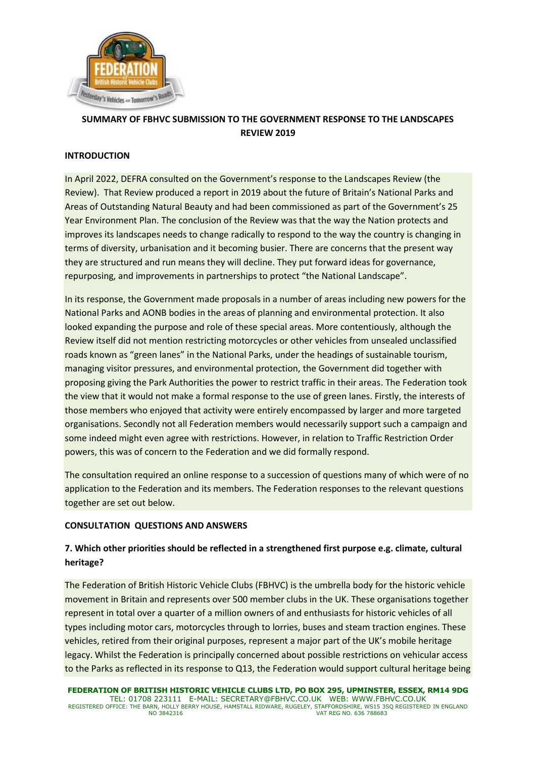

# **SUMMARY OF FBHVC SUBMISSION TO THE GOVERNMENT RESPONSE TO THE LANDSCAPES REVIEW 2019**

### **INTRODUCTION**

In April 2022, DEFRA consulted on the Government's response to the Landscapes Review (the Review). That Review produced a report in 2019 about the future of Britain's National Parks and Areas of Outstanding Natural Beauty and had been commissioned as part of the Government's 25 Year Environment Plan. The conclusion of the Review was that the way the Nation protects and improves its landscapes needs to change radically to respond to the way the country is changing in terms of diversity, urbanisation and it becoming busier. There are concerns that the present way they are structured and run means they will decline. They put forward ideas for governance, repurposing, and improvements in partnerships to protect "the National Landscape".

In its response, the Government made proposals in a number of areas including new powers for the National Parks and AONB bodies in the areas of planning and environmental protection. It also looked expanding the purpose and role of these special areas. More contentiously, although the Review itself did not mention restricting motorcycles or other vehicles from unsealed unclassified roads known as "green lanes" in the National Parks, under the headings of sustainable tourism, managing visitor pressures, and environmental protection, the Government did together with proposing giving the Park Authorities the power to restrict traffic in their areas. The Federation took the view that it would not make a formal response to the use of green lanes. Firstly, the interests of those members who enjoyed that activity were entirely encompassed by larger and more targeted organisations. Secondly not all Federation members would necessarily support such a campaign and some indeed might even agree with restrictions. However, in relation to Traffic Restriction Order powers, this was of concern to the Federation and we did formally respond.

The consultation required an online response to a succession of questions many of which were of no application to the Federation and its members. The Federation responses to the relevant questions together are set out below.

#### **CONSULTATION QUESTIONS AND ANSWERS**

## **7. Which other priorities should be reflected in a strengthened first purpose e.g. climate, cultural heritage?**

The Federation of British Historic Vehicle Clubs (FBHVC) is the umbrella body for the historic vehicle movement in Britain and represents over 500 member clubs in the UK. These organisations together represent in total over a quarter of a million owners of and enthusiasts for historic vehicles of all types including motor cars, motorcycles through to lorries, buses and steam traction engines. These vehicles, retired from their original purposes, represent a major part of the UK's mobile heritage legacy. Whilst the Federation is principally concerned about possible restrictions on vehicular access to the Parks as reflected in its response to Q13, the Federation would support cultural heritage being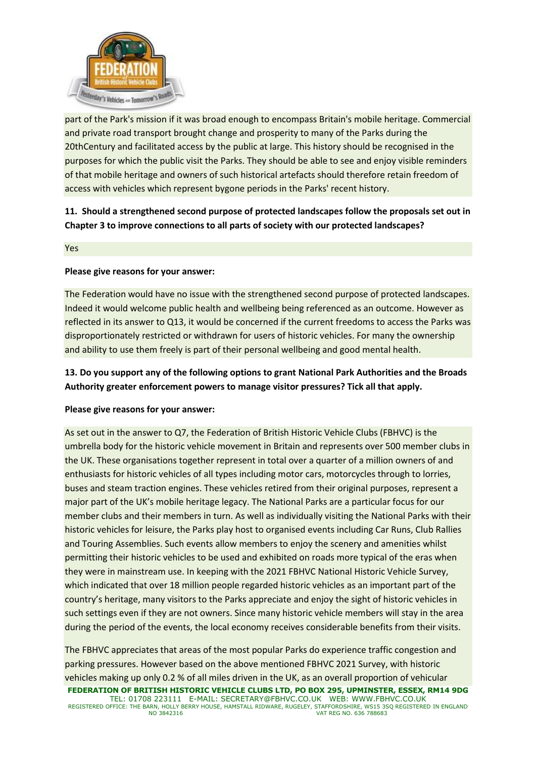

part of the Park's mission if it was broad enough to encompass Britain's mobile heritage. Commercial and private road transport brought change and prosperity to many of the Parks during the 20thCentury and facilitated access by the public at large. This history should be recognised in the purposes for which the public visit the Parks. They should be able to see and enjoy visible reminders of that mobile heritage and owners of such historical artefacts should therefore retain freedom of access with vehicles which represent bygone periods in the Parks' recent history.

# **11. Should a strengthened second purpose of protected landscapes follow the proposals set out in Chapter 3 to improve connections to all parts of society with our protected landscapes?**

Yes

#### **Please give reasons for your answer:**

The Federation would have no issue with the strengthened second purpose of protected landscapes. Indeed it would welcome public health and wellbeing being referenced as an outcome. However as reflected in its answer to Q13, it would be concerned if the current freedoms to access the Parks was disproportionately restricted or withdrawn for users of historic vehicles. For many the ownership and ability to use them freely is part of their personal wellbeing and good mental health.

## **13. Do you support any of the following options to grant National Park Authorities and the Broads Authority greater enforcement powers to manage visitor pressures? Tick all that apply.**

### **Please give reasons for your answer:**

As set out in the answer to Q7, the Federation of British Historic Vehicle Clubs (FBHVC) is the umbrella body for the historic vehicle movement in Britain and represents over 500 member clubs in the UK. These organisations together represent in total over a quarter of a million owners of and enthusiasts for historic vehicles of all types including motor cars, motorcycles through to lorries, buses and steam traction engines. These vehicles retired from their original purposes, represent a major part of the UK's mobile heritage legacy. The National Parks are a particular focus for our member clubs and their members in turn. As well as individually visiting the National Parks with their historic vehicles for leisure, the Parks play host to organised events including Car Runs, Club Rallies and Touring Assemblies. Such events allow members to enjoy the scenery and amenities whilst permitting their historic vehicles to be used and exhibited on roads more typical of the eras when they were in mainstream use. In keeping with the 2021 FBHVC National Historic Vehicle Survey, which indicated that over 18 million people regarded historic vehicles as an important part of the country's heritage, many visitors to the Parks appreciate and enjoy the sight of historic vehicles in such settings even if they are not owners. Since many historic vehicle members will stay in the area during the period of the events, the local economy receives considerable benefits from their visits.

**FEDERATION OF BRITISH HISTORIC VEHICLE CLUBS LTD, PO BOX 295, UPMINSTER, ESSEX, RM14 9DG** TEL: 01708 223111 E-MAIL: SECRETARY@FBHVC.CO.UK WEB: WWW.FBHVC.CO.UK REGISTERED OFFICE: THE BARN, HOLLY BERRY HOUSE, HAMSTALL RIDWARE, RUGELEY, STAFFORDSHIRE, WS15 3SQ REGISTERED IN ENGLAND<br>VAT REG NO. 636 788683 The FBHVC appreciates that areas of the most popular Parks do experience traffic congestion and parking pressures. However based on the above mentioned FBHVC 2021 Survey, with historic vehicles making up only 0.2 % of all miles driven in the UK, as an overall proportion of vehicular